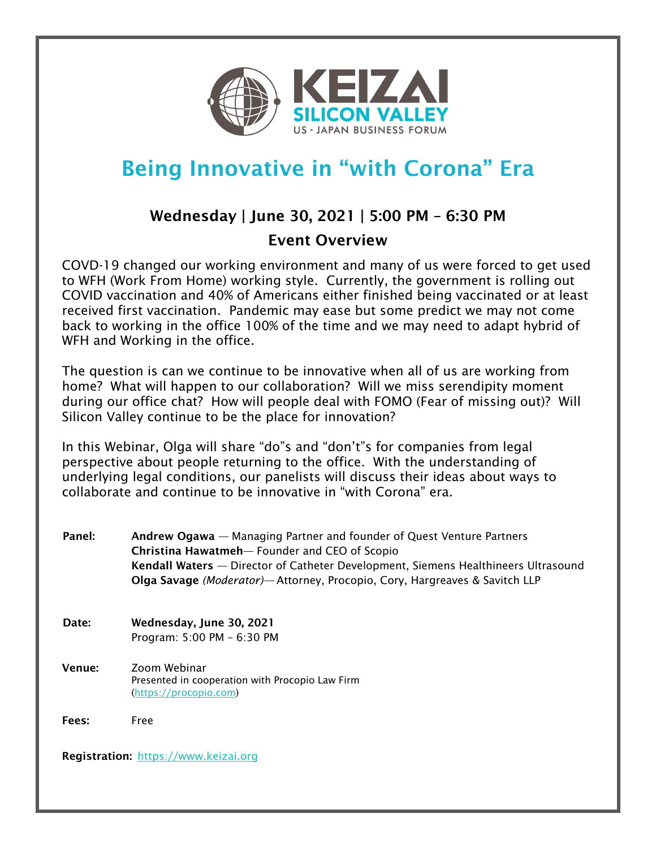

# Being Innovative in "with Corona" Era

# Wednesday | June 30, 2021 | 5:00 PM – 6:30 PM Event Overview

COVD-19 changed our working environment and many of us were forced to get used to WFH (Work From Home) working style. Currently, the government is rolling out COVID vaccination and 40% of Americans either finished being vaccinated or at least received first vaccination. Pandemic may ease but some predict we may not come back to working in the office 100% of the time and we may need to adapt hybrid of WFH and Working in the office.

The question is can we continue to be innovative when all of us are working from home? What will happen to our collaboration? Will we miss serendipity moment during our office chat? How will people deal with FOMO (Fear of missing out)? Will Silicon Valley continue to be the place for innovation?

In this Webinar, Olga will share "do"s and "don't"s for companies from legal perspective about people returning to the office. With the understanding of underlying legal conditions, our panelists will discuss their ideas about ways to collaborate and continue to be innovative in "with Corona" era.

Panel: Andrew Ogawa — Managing Partner and founder of Quest Venture Partners Christina Hawatmeh— Founder and CEO of Scopio Kendall Waters — Director of Catheter Development, Siemens Healthineers Ultrasound Olga Savage *(Moderator)—* Attorney, Procopio, Cory, Hargreaves & Savitch LLP Date: Wednesday, June 30, 2021 Program: 5:00 PM – 6:30 PM Venue: Zoom Webinar Presented in cooperation with Procopio Law Firm (https://procopio.com) Fees: Free Registration: https://www.keizai.org